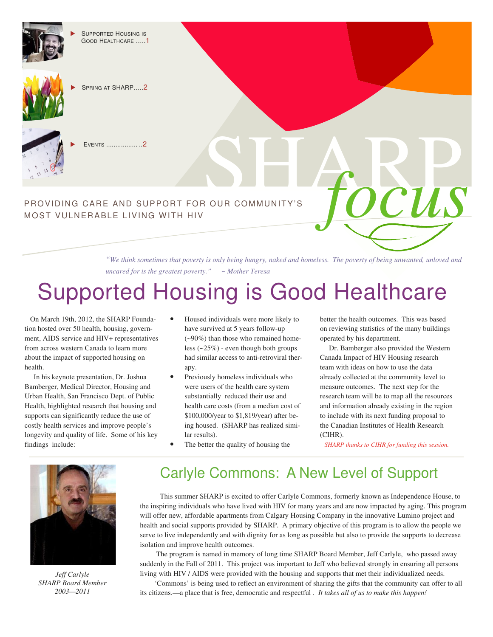

 SUPPORTED HOUSING IS GOOD HEALTHCARE …..1



SPRING AT SHARP…..2



EVENTS ................. ..2

# PROVIDING CARE AND SUPPORT FOR OUR COMMUNITY'S SHARP MOST VULNERABLE LIVING WITH HIV

*"We think sometimes that poverty is only being hungry, naked and homeless. The poverty of being unwanted, unloved and uncared for is the greatest poverty." ~ Mother Teresa* 

## Supported Housing is Good Healthcare

 On March 19th, 2012, the SHARP Foundation hosted over 50 health, housing, government, AIDS service and HIV+ representatives from across western Canada to learn more about the impact of supported housing on health.

 In his keynote presentation, Dr. Joshua Bamberger, Medical Director, Housing and Urban Health, San Francisco Dept. of Public Health, highlighted research that housing and supports can significantly reduce the use of costly health services and improve people's longevity and quality of life. Some of his key findings include:

- Housed individuals were more likely to have survived at 5 years follow-up (~90%) than those who remained homeless (~25%) - even though both groups had similar access to anti-retroviral therapy.
- Previously homeless individuals who were users of the health care system substantially reduced their use and health care costs (from a median cost of \$100,000/year to \$1,819/year) after being housed. (SHARP has realized similar results).
- The better the quality of housing the

better the health outcomes. This was based on reviewing statistics of the many buildings operated by his department.

*focus*

 Dr. Bamberger also provided the Western Canada Impact of HIV Housing research team with ideas on how to use the data already collected at the community level to measure outcomes. The next step for the research team will be to map all the resources and information already existing in the region to include with its next funding proposal to the Canadian Institutes of Health Research (CIHR).

*SHARP thanks to CIHR for funding this session.* 



*Jeff Carlyle SHARP Board Member 2003—2011* 

### Carlyle Commons: A New Level of Support

 This summer SHARP is excited to offer Carlyle Commons, formerly known as Independence House, to the inspiring individuals who have lived with HIV for many years and are now impacted by aging. This program will offer new, affordable apartments from Calgary Housing Company in the innovative Lumino project and health and social supports provided by SHARP. A primary objective of this program is to allow the people we serve to live independently and with dignity for as long as possible but also to provide the supports to decrease isolation and improve health outcomes.

 The program is named in memory of long time SHARP Board Member, Jeff Carlyle, who passed away suddenly in the Fall of 2011. This project was important to Jeff who believed strongly in ensuring all persons living with HIV / AIDS were provided with the housing and supports that met their individualized needs.

 'Commons' is being used to reflect an environment of sharing the gifts that the community can offer to all its citizens.—a place that is free, democratic and respectful *. It takes all of us to make this happen!*